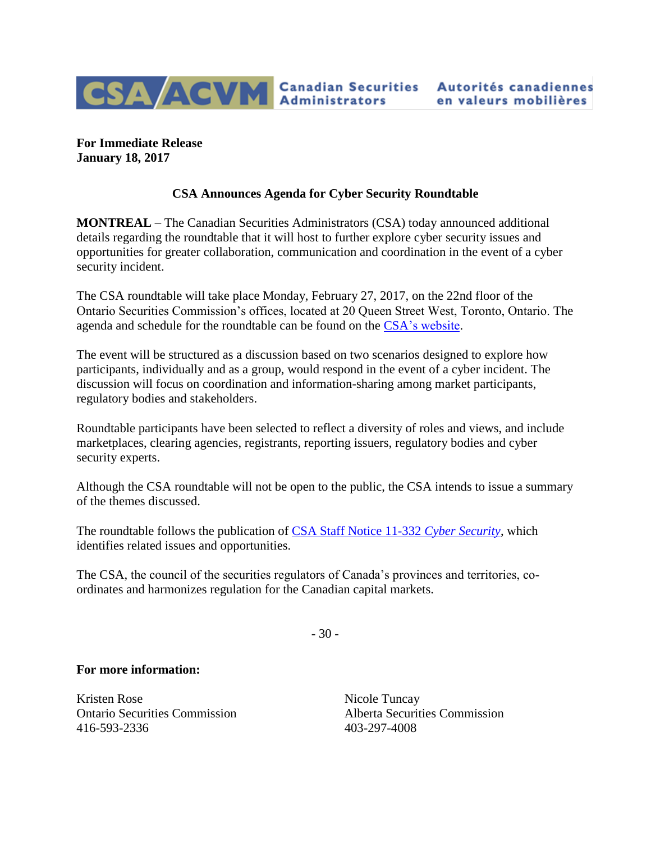

**For Immediate Release January 18, 2017**

## **CSA Announces Agenda for Cyber Security Roundtable**

**MONTREAL** – The Canadian Securities Administrators (CSA) today announced additional details regarding the roundtable that it will host to further explore cyber security issues and opportunities for greater collaboration, communication and coordination in the event of a cyber security incident.

The CSA roundtable will take place Monday, February 27, 2017, on the 22nd floor of the Ontario Securities Commission's offices, located at 20 Queen Street West, Toronto, Ontario. The agenda and schedule for the roundtable can be found on the [CSA's website.](http://www.securities-administrators.ca/uploadedFiles/General/RulesPolicyPaper/AgendaCybersecurityRoundTable2017.pdf)

The event will be structured as a discussion based on two scenarios designed to explore how participants, individually and as a group, would respond in the event of a cyber incident. The discussion will focus on coordination and information-sharing among market participants, regulatory bodies and stakeholders.

Roundtable participants have been selected to reflect a diversity of roles and views, and include marketplaces, clearing agencies, registrants, reporting issuers, regulatory bodies and cyber security experts.

Although the CSA roundtable will not be open to the public, the CSA intends to issue a summary of the themes discussed.

The roundtable follows the publication of [CSA Staff Notice 11-332](https://www.osc.gov.on.ca/documents/en/Securities-Category1/sn_20160927_11-332-cyber-security.pdf) *Cyber Security*, which identifies related issues and opportunities.

The CSA, the council of the securities regulators of Canada's provinces and territories, coordinates and harmonizes regulation for the Canadian capital markets.

- 30 -

## **For more information:**

Kristen Rose Nicole Tuncay 416-593-2336 403-297-4008

Ontario Securities Commission Alberta Securities Commission